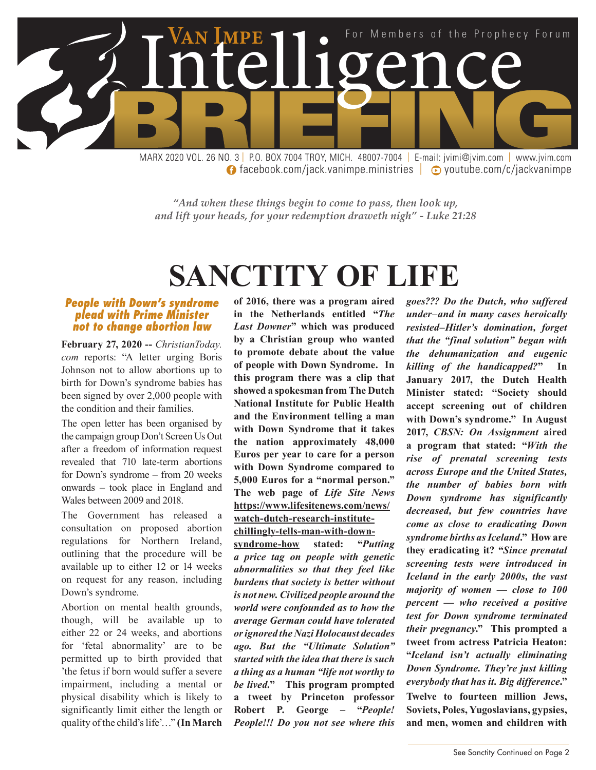

**facebook.com/jack.vanimpe.ministries | © youtube.com/c/jackvanimpe** 

*"And when these things begin to come to pass, then look up, and lift your heads, for your redemption draweth nigh" - Luke 21:28*

# **SANCTITY OF LIFE**

#### *People with Down's syndrome plead with Prime Minister not to change abortion law*

**February 27, 2020 --** *ChristianToday. com* reports: "A letter urging Boris Johnson not to allow abortions up to birth for Down's syndrome babies has been signed by over 2,000 people with the condition and their families.

The open letter has been organised by the campaign group Don't Screen Us Out after a freedom of information request revealed that 710 late-term abortions for Down's syndrome – from 20 weeks onwards – took place in England and Wales between 2009 and 2018.

The Government has released a consultation on proposed abortion regulations for Northern Ireland, outlining that the procedure will be available up to either 12 or 14 weeks on request for any reason, including Down's syndrome.

Abortion on mental health grounds, though, will be available up to either 22 or 24 weeks, and abortions for 'fetal abnormality' are to be permitted up to birth provided that 'the fetus if born would suffer a severe impairment, including a mental or physical disability which is likely to significantly limit either the length or quality of the child's life'…" **(In March** 

**of 2016, there was a program aired in the Netherlands entitled "***The Last Downer***" which was produced by a Christian group who wanted to promote debate about the value of people with Down Syndrome. In this program there was a clip that showed a spokesman from The Dutch National Institute for Public Health and the Environment telling a man with Down Syndrome that it takes the nation approximately 48,000 Euros per year to care for a person with Down Syndrome compared to 5,000 Euros for a "normal person." The web page of** *Life Site News* **https://www.lifesitenews.com/news/ watch-dutch-research-institute-**

**chillingly-tells-man-with-down-**

**syndrome-how stated: "***Putting a price tag on people with genetic abnormalities so that they feel like burdens that society is better without is not new. Civilized people around the world were confounded as to how the average German could have tolerated or ignored the Nazi Holocaust decades ago. But the "Ultimate Solution" started with the idea that there is such a thing as a human "life not worthy to be lived.***" This program prompted a tweet by Princeton professor Robert P. George – "***People! People!!! Do you not see where this* 

*goes??? Do the Dutch, who suffered under–and in many cases heroically resisted–Hitler's domination, forget that the "final solution" began with the dehumanization and eugenic killing of the handicapped?***" In January 2017, the Dutch Health Minister stated: "Society should accept screening out of children with Down's syndrome." In August 2017,** *CBSN: On Assignment* **aired a program that stated: "***With the rise of prenatal screening tests across Europe and the United States, the number of babies born with Down syndrome has significantly decreased, but few countries have come as close to eradicating Down syndrome births as Iceland***." How are they eradicating it? "***Since prenatal screening tests were introduced in Iceland in the early 2000s, the vast majority of women — close to 100 percent — who received a positive test for Down syndrome terminated their pregnancy***." This prompted a tweet from actress Patricia Heaton: "***Iceland isn't actually eliminating Down Syndrome. They're just killing everybody that has it. Big difference***." Twelve to fourteen million Jews, Soviets, Poles, Yugoslavians, gypsies, and men, women and children with**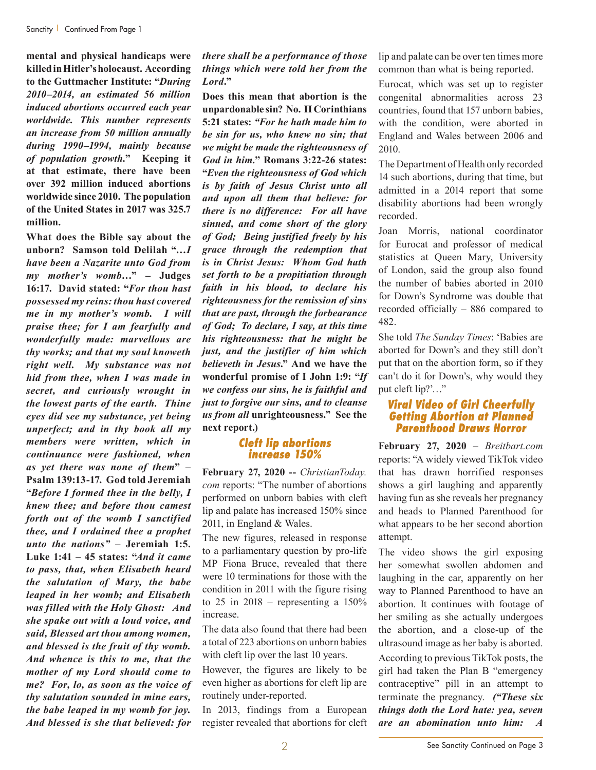**mental and physical handicaps were killed in Hitler's holocaust. According to the Guttmacher Institute: "***During 2010–2014, an estimated 56 million induced abortions occurred each year worldwide. This number represents an increase from 50 million annually during 1990–1994, mainly because of population growth.***" Keeping it at that estimate, there have been over 392 million induced abortions worldwide since 2010. The population of the United States in 2017 was 325.7 million.**

**What does the Bible say about the unborn? Samson told Delilah "…***I have been a Nazarite unto God from my mother's womb…***" – Judges 16:17. David stated: "***For thou hast possessed my reins: thou hast covered me in my mother's womb. I will praise thee; for I am fearfully and wonderfully made: marvellous are thy works; and that my soul knoweth right well. My substance was not hid from thee, when I was made in secret, and curiously wrought in the lowest parts of the earth. Thine eyes did see my substance, yet being unperfect; and in thy book all my members were written, which in continuance were fashioned, when as yet there was none of them***" – Psalm 139:13-17. God told Jeremiah "***Before I formed thee in the belly, I knew thee; and before thou camest forth out of the womb I sanctified thee, and I ordained thee a prophet unto the nations"* **– Jeremiah 1:5. Luke 1:41 – 45 states: "***And it came to pass, that, when Elisabeth heard the salutation of Mary, the babe leaped in her womb; and Elisabeth was filled with the Holy Ghost: And she spake out with a loud voice, and said, Blessed art thou among women, and blessed is the fruit of thy womb. And whence is this to me, that the mother of my Lord should come to me? For, lo, as soon as the voice of thy salutation sounded in mine ears, the babe leaped in my womb for joy. And blessed is she that believed: for* 

#### *there shall be a performance of those things which were told her from the Lord***."**

**Does this mean that abortion is the unpardonable sin? No. II Corinthians 5:21 states:** *"For he hath made him to be sin for us, who knew no sin; that we might be made the righteousness of God in him.***" Romans 3:22-26 states: "***Even the righteousness of God which is by faith of Jesus Christ unto all and upon all them that believe: for there is no difference: For all have sinned, and come short of the glory of God; Being justified freely by his grace through the redemption that is in Christ Jesus: Whom God hath set forth to be a propitiation through faith in his blood, to declare his righteousness for the remission of sins that are past, through the forbearance of God; To declare, I say, at this time his righteousness: that he might be just, and the justifier of him which believeth in Jesus***." And we have the wonderful promise of I John 1:9: "***If we confess our sins, he is faithful and just to forgive our sins, and to cleanse us from all* **unrighteousness." See the next report.)**

#### *Cleft lip abortions increase 150%*

**February 27, 2020 --** *ChristianToday. com* reports: "The number of abortions performed on unborn babies with cleft lip and palate has increased 150% since 2011, in England & Wales.

The new figures, released in response to a parliamentary question by pro-life MP Fiona Bruce, revealed that there were 10 terminations for those with the condition in 2011 with the figure rising to  $25$  in  $2018$  – representing a  $150\%$ increase.

The data also found that there had been a total of 223 abortions on unborn babies with cleft lip over the last 10 years.

However, the figures are likely to be even higher as abortions for cleft lip are routinely under-reported.

In 2013, findings from a European register revealed that abortions for cleft lip and palate can be over ten times more common than what is being reported.

Eurocat, which was set up to register congenital abnormalities across 23 countries, found that 157 unborn babies, with the condition, were aborted in England and Wales between 2006 and 2010.

The Department of Health only recorded 14 such abortions, during that time, but admitted in a 2014 report that some disability abortions had been wrongly recorded.

Joan Morris, national coordinator for Eurocat and professor of medical statistics at Queen Mary, University of London, said the group also found the number of babies aborted in 2010 for Down's Syndrome was double that recorded officially – 886 compared to 482.

She told *The Sunday Times*: 'Babies are aborted for Down's and they still don't put that on the abortion form, so if they can't do it for Down's, why would they put cleft lip?'…"

#### *Viral Video of Girl Cheerfully Getting Abortion at Planned Parenthood Draws Horror*

**February 27, 2020 –** *Breitbart.com* reports: "A widely viewed TikTok video that has drawn horrified responses shows a girl laughing and apparently having fun as she reveals her pregnancy and heads to Planned Parenthood for what appears to be her second abortion attempt.

The video shows the girl exposing her somewhat swollen abdomen and laughing in the car, apparently on her way to Planned Parenthood to have an abortion. It continues with footage of her smiling as she actually undergoes the abortion, and a close-up of the ultrasound image as her baby is aborted. According to previous TikTok posts, the girl had taken the Plan B "emergency contraceptive" pill in an attempt to terminate the pregnancy. *("These six* 

*things doth the Lord hate: yea, seven are an abomination unto him: A*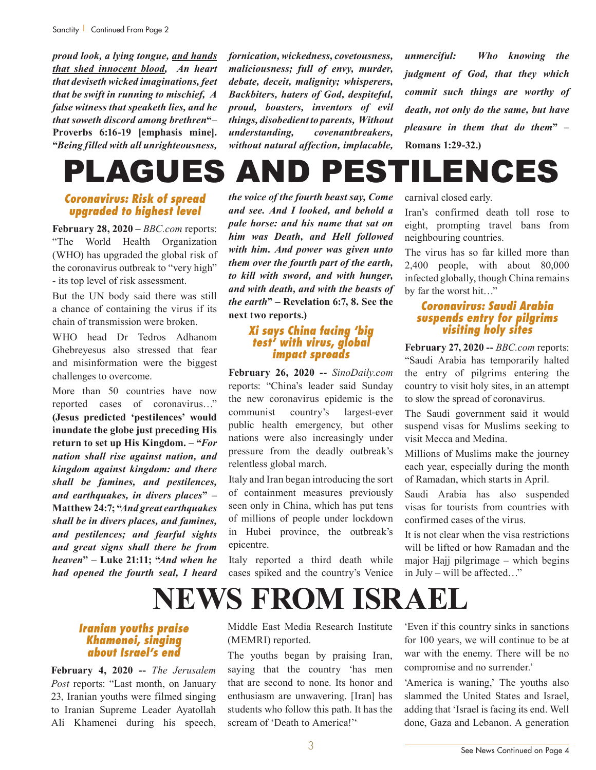*proud look, a lying tongue, and hands that shed innocent blood, An heart that deviseth wicked imaginations, feet that be swift in running to mischief, A false witness that speaketh lies, and he that soweth discord among brethren***"– Proverbs 6:16-19 [emphasis mine]. "***Being filled with all unrighteousness,* 

*fornication, wickedness, covetousness, maliciousness; full of envy, murder, debate, deceit, malignity; whisperers, Backbiters, haters of God, despiteful, proud, boasters, inventors of evil things, disobedient to parents, Without understanding, covenantbreakers, without natural affection, implacable,* 

*unmerciful: Who knowing the judgment of God, that they which commit such things are worthy of death, not only do the same, but have pleasure in them that do them***" – Romans 1:29-32.)**

# PLAGUES AND PESTILENCES

# *Coronavirus: Risk of spread upgraded to highest level*

**February 28, 2020 –** *BBC.com* reports: "The World Health Organization (WHO) has upgraded the global risk of the coronavirus outbreak to "very high" - its top level of risk assessment.

But the UN body said there was still a chance of containing the virus if its chain of transmission were broken.

WHO head Dr Tedros Adhanom Ghebreyesus also stressed that fear and misinformation were the biggest challenges to overcome.

More than 50 countries have now reported cases of coronavirus…" **(Jesus predicted 'pestilences' would inundate the globe just preceding His return to set up His Kingdom. – "***For nation shall rise against nation, and kingdom against kingdom: and there shall be famines, and pestilences, and earthquakes, in divers places***" – Matthew 24:7; "***And great earthquakes shall be in divers places, and famines, and pestilences; and fearful sights and great signs shall there be from heaven***" – Luke 21:11; "***And when he had opened the fourth seal, I heard*  *the voice of the fourth beast say, Come and see. And I looked, and behold a pale horse: and his name that sat on him was Death, and Hell followed with him. And power was given unto them over the fourth part of the earth, to kill with sword, and with hunger, and with death, and with the beasts of the earth***" – Revelation 6:7, 8. See the next two reports.)**

# *Xi says China facing 'big test' with virus, global impact spreads*

**February 26, 2020 --** *SinoDaily.com* reports: "China's leader said Sunday the new coronavirus epidemic is the communist country's largest-ever public health emergency, but other nations were also increasingly under pressure from the deadly outbreak's relentless global march.

Italy and Iran began introducing the sort of containment measures previously seen only in China, which has put tens of millions of people under lockdown in Hubei province, the outbreak's epicentre.

Italy reported a third death while cases spiked and the country's Venice carnival closed early.

Iran's confirmed death toll rose to eight, prompting travel bans from neighbouring countries.

The virus has so far killed more than 2,400 people, with about 80,000 infected globally, though China remains by far the worst hit…"

# *Coronavirus: Saudi Arabia suspends entry for pilgrims visiting holy sites*

**February 27, 2020 --** *BBC.com* reports: "Saudi Arabia has temporarily halted the entry of pilgrims entering the country to visit holy sites, in an attempt to slow the spread of coronavirus.

The Saudi government said it would suspend visas for Muslims seeking to visit Mecca and Medina.

Millions of Muslims make the journey each year, especially during the month of Ramadan, which starts in April.

Saudi Arabia has also suspended visas for tourists from countries with confirmed cases of the virus.

It is not clear when the visa restrictions will be lifted or how Ramadan and the major Hajj pilgrimage – which begins in July – will be affected…"

# **NEWS FROM ISRAEL**

### *Iranian youths praise Khamenei, singing about Israel's end*

**February 4, 2020 --** *The Jerusalem Post* reports: "Last month, on January 23, Iranian youths were filmed singing to Iranian Supreme Leader Ayatollah Ali Khamenei during his speech, Middle East Media Research Institute (MEMRI) reported.

The youths began by praising Iran, saying that the country 'has men that are second to none. Its honor and enthusiasm are unwavering. [Iran] has students who follow this path. It has the scream of 'Death to America!''

'Even if this country sinks in sanctions for 100 years, we will continue to be at war with the enemy. There will be no compromise and no surrender.'

'America is waning,' The youths also slammed the United States and Israel, adding that 'Israel is facing its end. Well done, Gaza and Lebanon. A generation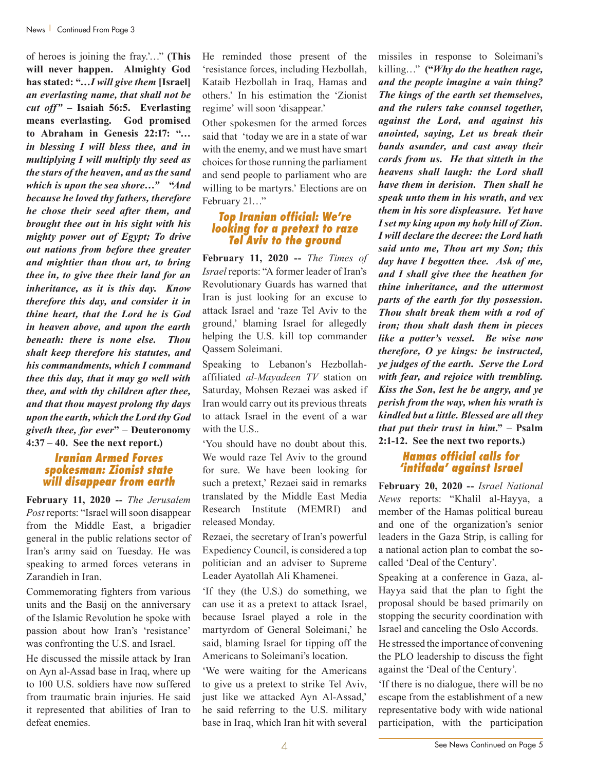of heroes is joining the fray.'…" **(This will never happen. Almighty God has stated: "…***I will give them* **[Israel]**  *an everlasting name, that shall not be cut off" –* **Isaiah 56:5. Everlasting means everlasting. God promised to Abraham in Genesis 22:17: "***… in blessing I will bless thee, and in multiplying I will multiply thy seed as the stars of the heaven, and as the sand which is upon the sea shore…"* **"***And because he loved thy fathers, therefore he chose their seed after them, and brought thee out in his sight with his mighty power out of Egypt; To drive out nations from before thee greater and mightier than thou art, to bring thee in, to give thee their land for an inheritance, as it is this day. Know therefore this day, and consider it in thine heart, that the Lord he is God in heaven above, and upon the earth beneath: there is none else. Thou shalt keep therefore his statutes, and his commandments, which I command thee this day, that it may go well with thee, and with thy children after thee, and that thou mayest prolong thy days upon the earth, which the Lord thy God giveth thee, for ever***" – Deuteronomy 4:37 – 40. See the next report.)**

#### *Iranian Armed Forces spokesman: Zionist state will disappear from earth*

**February 11, 2020 --** *The Jerusalem Post* reports: "Israel will soon disappear from the Middle East, a brigadier general in the public relations sector of Iran's army said on Tuesday. He was speaking to armed forces veterans in Zarandieh in Iran.

Commemorating fighters from various units and the Basij on the anniversary of the Islamic Revolution he spoke with passion about how Iran's 'resistance' was confronting the U.S. and Israel.

He discussed the missile attack by Iran on Ayn al-Assad base in Iraq, where up to 100 U.S. soldiers have now suffered from traumatic brain injuries. He said it represented that abilities of Iran to defeat enemies.

He reminded those present of the 'resistance forces, including Hezbollah, Kataib Hezbollah in Iraq, Hamas and others.' In his estimation the 'Zionist regime' will soon 'disappear.'

Other spokesmen for the armed forces said that 'today we are in a state of war with the enemy, and we must have smart choices for those running the parliament and send people to parliament who are willing to be martyrs.' Elections are on February 21…"

### *Top Iranian official: We're looking for a pretext to raze Tel Aviv to the ground*

**February 11, 2020 --** *The Times of Israel* reports: "A former leader of Iran's Revolutionary Guards has warned that Iran is just looking for an excuse to attack Israel and 'raze Tel Aviv to the ground,' blaming Israel for allegedly helping the U.S. kill top commander Qassem Soleimani.

Speaking to Lebanon's Hezbollahaffiliated *al-Mayadeen TV* station on Saturday, Mohsen Rezaei was asked if Iran would carry out its previous threats to attack Israel in the event of a war with the U.S..

'You should have no doubt about this. We would raze Tel Aviv to the ground for sure. We have been looking for such a pretext,' Rezaei said in remarks translated by the Middle East Media Research Institute (MEMRI) and released Monday.

Rezaei, the secretary of Iran's powerful Expediency Council, is considered a top politician and an adviser to Supreme Leader Ayatollah Ali Khamenei.

'If they (the U.S.) do something, we can use it as a pretext to attack Israel, because Israel played a role in the martyrdom of General Soleimani,' he said, blaming Israel for tipping off the Americans to Soleimani's location.

'We were waiting for the Americans to give us a pretext to strike Tel Aviv, just like we attacked Ayn Al-Assad,' he said referring to the U.S. military base in Iraq, which Iran hit with several

missiles in response to Soleimani's killing…" **("***Why do the heathen rage, and the people imagine a vain thing? The kings of the earth set themselves, and the rulers take counsel together, against the Lord, and against his anointed, saying, Let us break their bands asunder, and cast away their cords from us. He that sitteth in the heavens shall laugh: the Lord shall have them in derision. Then shall he speak unto them in his wrath, and vex them in his sore displeasure. Yet have I set my king upon my holy hill of Zion. I will declare the decree: the Lord hath said unto me, Thou art my Son; this day have I begotten thee. Ask of me, and I shall give thee the heathen for thine inheritance, and the uttermost parts of the earth for thy possession. Thou shalt break them with a rod of iron; thou shalt dash them in pieces like a potter's vessel. Be wise now therefore, O ye kings: be instructed, ye judges of the earth. Serve the Lord with fear, and rejoice with trembling. Kiss the Son, lest he be angry, and ye perish from the way, when his wrath is kindled but a little. Blessed are all they that put their trust in him***." – Psalm 2:1-12. See the next two reports.)**

# *Hamas official calls for 'intifada' against Israel*

**February 20, 2020 --** *Israel National News* reports: "Khalil al-Hayya, a member of the Hamas political bureau and one of the organization's senior leaders in the Gaza Strip, is calling for a national action plan to combat the socalled 'Deal of the Century'.

Speaking at a conference in Gaza, al-Hayya said that the plan to fight the proposal should be based primarily on stopping the security coordination with Israel and canceling the Oslo Accords.

He stressed the importance of convening the PLO leadership to discuss the fight against the 'Deal of the Century'.

'If there is no dialogue, there will be no escape from the establishment of a new representative body with wide national participation, with the participation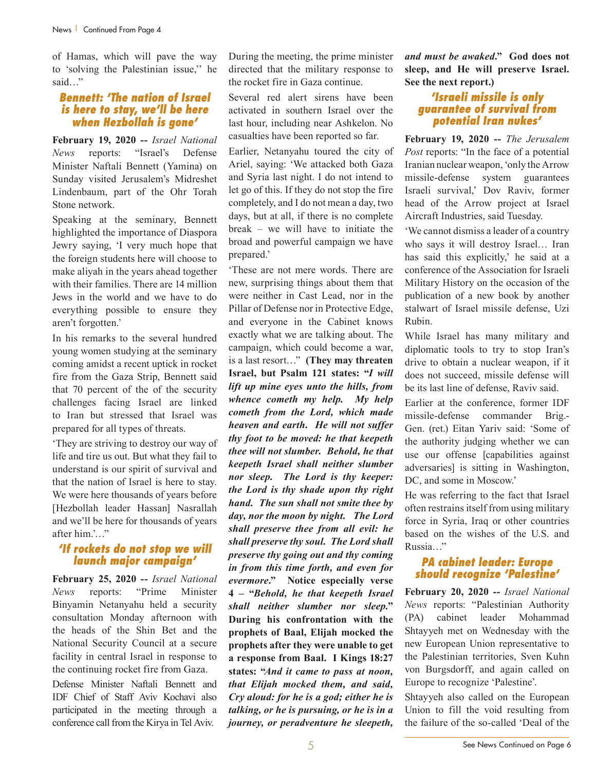of Hamas, which will pave the way to 'solving the Palestinian issue,'' he said…"

#### *Bennett: 'The nation of Israel is here to stay, we'll be here when Hezbollah is gone'*

**February 19, 2020 --** *Israel National News* reports: "Israel's Defense Minister Naftali Bennett (Yamina) on Sunday visited Jerusalem's Midreshet Lindenbaum, part of the Ohr Torah Stone network.

Speaking at the seminary, Bennett highlighted the importance of Diaspora Jewry saying, 'I very much hope that the foreign students here will choose to make aliyah in the years ahead together with their families. There are 14 million Jews in the world and we have to do everything possible to ensure they aren't forgotten.'

In his remarks to the several hundred young women studying at the seminary coming amidst a recent uptick in rocket fire from the Gaza Strip, Bennett said that 70 percent of the of the security challenges facing Israel are linked to Iran but stressed that Israel was prepared for all types of threats.

'They are striving to destroy our way of life and tire us out. But what they fail to understand is our spirit of survival and that the nation of Israel is here to stay. We were here thousands of years before [Hezbollah leader Hassan] Nasrallah and we'll be here for thousands of years after him.'…"

# *'If rockets do not stop we will launch major campaign'*

**February 25, 2020 --** *Israel National News* reports: "Prime Minister Binyamin Netanyahu held a security consultation Monday afternoon with the heads of the Shin Bet and the National Security Council at a secure facility in central Israel in response to the continuing rocket fire from Gaza.

Defense Minister Naftali Bennett and IDF Chief of Staff Aviv Kochavi also participated in the meeting through a conference call from the Kirya in Tel Aviv.

During the meeting, the prime minister directed that the military response to the rocket fire in Gaza continue.

Several red alert sirens have been activated in southern Israel over the last hour, including near Ashkelon. No casualties have been reported so far.

Earlier, Netanyahu toured the city of Ariel, saying: 'We attacked both Gaza and Syria last night. I do not intend to let go of this. If they do not stop the fire completely, and I do not mean a day, two days, but at all, if there is no complete break – we will have to initiate the broad and powerful campaign we have prepared.'

'These are not mere words. There are new, surprising things about them that were neither in Cast Lead, nor in the Pillar of Defense nor in Protective Edge, and everyone in the Cabinet knows exactly what we are talking about. The campaign, which could become a war, is a last resort…" **(They may threaten Israel, but Psalm 121 states: "***I will lift up mine eyes unto the hills, from whence cometh my help. My help cometh from the Lord, which made heaven and earth. He will not suffer thy foot to be moved: he that keepeth thee will not slumber. Behold, he that keepeth Israel shall neither slumber nor sleep. The Lord is thy keeper: the Lord is thy shade upon thy right hand. The sun shall not smite thee by day, nor the moon by night. The Lord shall preserve thee from all evil: he shall preserve thy soul. The Lord shall preserve thy going out and thy coming in from this time forth, and even for evermore***." Notice especially verse 4 – "***Behold, he that keepeth Israel shall neither slumber nor sleep.***" During his confrontation with the prophets of Baal, Elijah mocked the prophets after they were unable to get a response from Baal. I Kings 18:27 states: "***And it came to pass at noon, that Elijah mocked them, and said, Cry aloud: for he is a god; either he is talking, or he is pursuing, or he is in a journey, or peradventure he sleepeth,* 

*and must be awaked***." God does not sleep, and He will preserve Israel. See the next report.)**

# *'Israeli missile is only guarantee of survival from potential Iran nukes'*

**February 19, 2020 --** *The Jerusalem Post* reports: "In the face of a potential Iranian nuclear weapon, 'only the Arrow missile-defense system guarantees Israeli survival,' Dov Raviv, former head of the Arrow project at Israel Aircraft Industries, said Tuesday.

'We cannot dismiss a leader of a country who says it will destroy Israel… Iran has said this explicitly,' he said at a conference of the Association for Israeli Military History on the occasion of the publication of a new book by another stalwart of Israel missile defense, Uzi Rubin.

While Israel has many military and diplomatic tools to try to stop Iran's drive to obtain a nuclear weapon, if it does not succeed, missile defense will be its last line of defense, Raviv said.

Earlier at the conference, former IDF missile-defense commander Brig.- Gen. (ret.) Eitan Yariv said: 'Some of the authority judging whether we can use our offense [capabilities against adversaries] is sitting in Washington, DC, and some in Moscow.'

He was referring to the fact that Israel often restrains itself from using military force in Syria, Iraq or other countries based on the wishes of the U.S. and Russia…"

# *PA cabinet leader: Europe should recognize 'Palestine'*

**February 20, 2020 --** *Israel National News* reports: "Palestinian Authority (PA) cabinet leader Mohammad Shtayyeh met on Wednesday with the new European Union representative to the Palestinian territories, Sven Kuhn von Burgsdorff, and again called on Europe to recognize 'Palestine'.

Shtayyeh also called on the European Union to fill the void resulting from the failure of the so-called 'Deal of the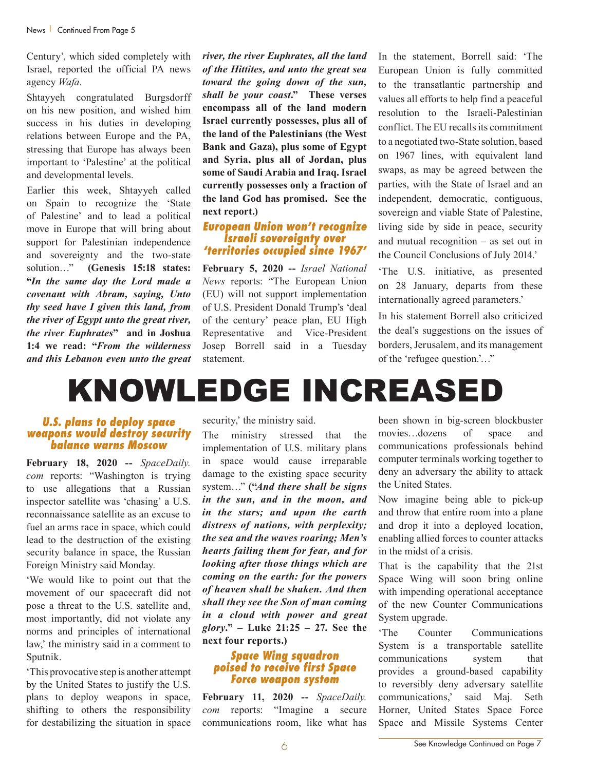Century', which sided completely with Israel, reported the official PA news agency *Wafa*.

Shtayyeh congratulated Burgsdorff on his new position, and wished him success in his duties in developing relations between Europe and the PA, stressing that Europe has always been important to 'Palestine' at the political and developmental levels.

Earlier this week, Shtayyeh called on Spain to recognize the 'State of Palestine' and to lead a political move in Europe that will bring about support for Palestinian independence and sovereignty and the two-state solution…" **(Genesis 15:18 states: "***In the same day the Lord made a covenant with Abram, saying, Unto thy seed have I given this land, from the river of Egypt unto the great river, the river Euphrates***" and in Joshua 1:4 we read: "***From the wilderness and this Lebanon even unto the great*  *river, the river Euphrates, all the land of the Hittites, and unto the great sea toward the going down of the sun, shall be your coast***." These verses encompass all of the land modern Israel currently possesses, plus all of the land of the Palestinians (the West Bank and Gaza), plus some of Egypt and Syria, plus all of Jordan, plus some of Saudi Arabia and Iraq. Israel currently possesses only a fraction of the land God has promised. See the next report.)**

#### *European Union won't recognize Israeli sovereignty over 'territories occupied since 1967'*

**February 5, 2020 --** *Israel National News* reports: "The European Union (EU) will not support implementation of U.S. President Donald Trump's 'deal of the century' peace plan, EU High Representative and Vice-President Josep Borrell said in a Tuesday statement.

In the statement, Borrell said: 'The European Union is fully committed to the transatlantic partnership and values all efforts to help find a peaceful resolution to the Israeli-Palestinian conflict. The EU recalls its commitment to a negotiated two-State solution, based on 1967 lines, with equivalent land swaps, as may be agreed between the parties, with the State of Israel and an independent, democratic, contiguous, sovereign and viable State of Palestine, living side by side in peace, security and mutual recognition – as set out in the Council Conclusions of July 2014.'

'The U.S. initiative, as presented on 28 January, departs from these internationally agreed parameters.'

In his statement Borrell also criticized the deal's suggestions on the issues of borders, Jerusalem, and its management of the 'refugee question.'…"

# KNOWLEDGE INCREASED

#### *U.S. plans to deploy space weapons would destroy security balance warns Moscow*

**February 18, 2020 --** *SpaceDaily. com* reports: "Washington is trying to use allegations that a Russian inspector satellite was 'chasing' a U.S. reconnaissance satellite as an excuse to fuel an arms race in space, which could lead to the destruction of the existing security balance in space, the Russian Foreign Ministry said Monday.

'We would like to point out that the movement of our spacecraft did not pose a threat to the U.S. satellite and, most importantly, did not violate any norms and principles of international law,' the ministry said in a comment to Sputnik.

'This provocative step is another attempt by the United States to justify the U.S. plans to deploy weapons in space, shifting to others the responsibility for destabilizing the situation in space

security,' the ministry said.

The ministry stressed that the implementation of U.S. military plans in space would cause irreparable damage to the existing space security system…" **("***And there shall be signs in the sun, and in the moon, and in the stars; and upon the earth distress of nations, with perplexity; the sea and the waves roaring; Men's hearts failing them for fear, and for looking after those things which are coming on the earth: for the powers of heaven shall be shaken. And then shall they see the Son of man coming in a cloud with power and great glory***." – Luke 21:25 – 27. See the next four reports.)**

#### *Space Wing squadron poised to receive first Space Force weapon system*

**February 11, 2020 --** *SpaceDaily. com* reports: "Imagine a secure communications room, like what has been shown in big-screen blockbuster movies…dozens of space and communications professionals behind computer terminals working together to deny an adversary the ability to attack the United States.

Now imagine being able to pick-up and throw that entire room into a plane and drop it into a deployed location, enabling allied forces to counter attacks in the midst of a crisis.

That is the capability that the 21st Space Wing will soon bring online with impending operational acceptance of the new Counter Communications System upgrade.

'The Counter Communications System is a transportable satellite communications system that provides a ground-based capability to reversibly deny adversary satellite communications,' said Maj. Seth Horner, United States Space Force Space and Missile Systems Center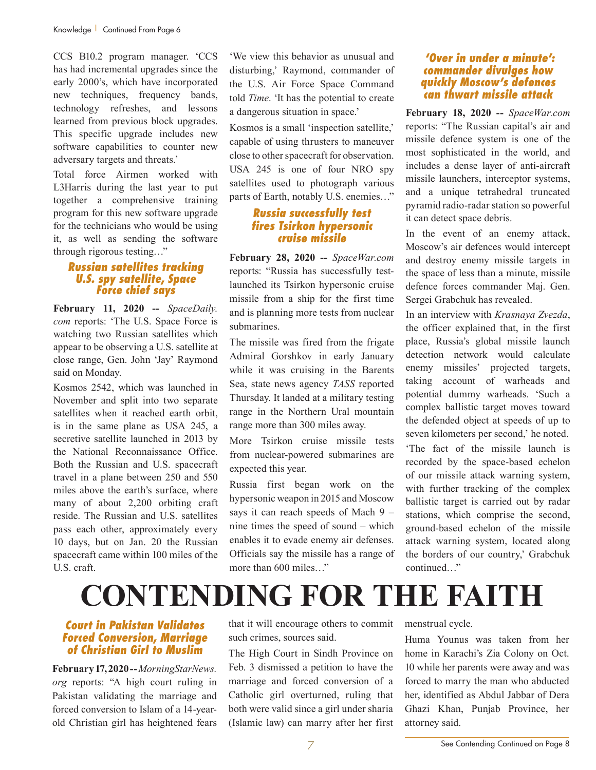CCS B10.2 program manager. 'CCS has had incremental upgrades since the early 2000's, which have incorporated new techniques, frequency bands, technology refreshes, and lessons learned from previous block upgrades. This specific upgrade includes new software capabilities to counter new adversary targets and threats.'

Total force Airmen worked with L3Harris during the last year to put together a comprehensive training program for this new software upgrade for the technicians who would be using it, as well as sending the software through rigorous testing…"

# *Russian satellites tracking U.S. spy satellite, Space Force chief says*

**February 11, 2020 --** *SpaceDaily. com* reports: 'The U.S. Space Force is watching two Russian satellites which appear to be observing a U.S. satellite at close range, Gen. John 'Jay' Raymond said on Monday.

Kosmos 2542, which was launched in November and split into two separate satellites when it reached earth orbit, is in the same plane as USA 245, a secretive satellite launched in 2013 by the National Reconnaissance Office. Both the Russian and U.S. spacecraft travel in a plane between 250 and 550 miles above the earth's surface, where many of about 2,200 orbiting craft reside. The Russian and U.S. satellites pass each other, approximately every 10 days, but on Jan. 20 the Russian spacecraft came within 100 miles of the U.S. craft.

'We view this behavior as unusual and disturbing,' Raymond, commander of the U.S. Air Force Space Command told *Time*. 'It has the potential to create a dangerous situation in space.'

Kosmos is a small 'inspection satellite,' capable of using thrusters to maneuver close to other spacecraft for observation. USA 245 is one of four NRO spy satellites used to photograph various parts of Earth, notably U.S. enemies…"

# *Russia successfully test fires Tsirkon hypersonic cruise missile*

**February 28, 2020 --** *SpaceWar.com* reports: "Russia has successfully testlaunched its Tsirkon hypersonic cruise missile from a ship for the first time and is planning more tests from nuclear submarines.

The missile was fired from the frigate Admiral Gorshkov in early January while it was cruising in the Barents Sea, state news agency *TASS* reported Thursday. It landed at a military testing range in the Northern Ural mountain range more than 300 miles away.

More Tsirkon cruise missile tests from nuclear-powered submarines are expected this year.

Russia first began work on the hypersonic weapon in 2015 and Moscow says it can reach speeds of Mach 9 – nine times the speed of sound – which enables it to evade enemy air defenses. Officials say the missile has a range of more than 600 miles…"

# *'Over in under a minute': commander divulges how quickly Moscow's defences can thwart missile attack*

**February 18, 2020 --** *SpaceWar.com* reports: "The Russian capital's air and missile defence system is one of the most sophisticated in the world, and includes a dense layer of anti-aircraft missile launchers, interceptor systems, and a unique tetrahedral truncated pyramid radio-radar station so powerful it can detect space debris.

In the event of an enemy attack, Moscow's air defences would intercept and destroy enemy missile targets in the space of less than a minute, missile defence forces commander Maj. Gen. Sergei Grabchuk has revealed.

In an interview with *Krasnaya Zvezda*, the officer explained that, in the first place, Russia's global missile launch detection network would calculate enemy missiles' projected targets, taking account of warheads and potential dummy warheads. 'Such a complex ballistic target moves toward the defended object at speeds of up to seven kilometers per second,' he noted. 'The fact of the missile launch is

recorded by the space-based echelon of our missile attack warning system, with further tracking of the complex ballistic target is carried out by radar stations, which comprise the second, ground-based echelon of the missile attack warning system, located along the borders of our country,' Grabchuk continued…"

# **CONTENDING FOR THE FAITH**

# *Court in Pakistan Validates Forced Conversion, Marriage of Christian Girl to Muslim*

**February 17, 2020 --** *MorningStarNews. org* reports: "A high court ruling in Pakistan validating the marriage and forced conversion to Islam of a 14-yearold Christian girl has heightened fears that it will encourage others to commit such crimes, sources said.

The High Court in Sindh Province on Feb. 3 dismissed a petition to have the marriage and forced conversion of a Catholic girl overturned, ruling that both were valid since a girl under sharia (Islamic law) can marry after her first

menstrual cycle.

Huma Younus was taken from her home in Karachi's Zia Colony on Oct. 10 while her parents were away and was forced to marry the man who abducted her, identified as Abdul Jabbar of Dera Ghazi Khan, Punjab Province, her attorney said.